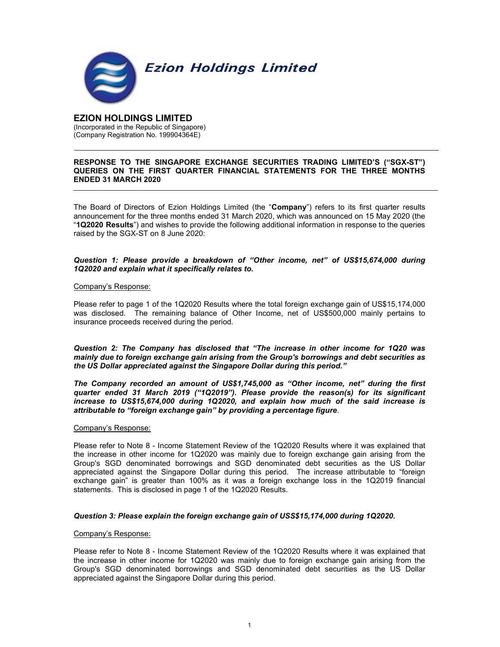

# EZION HOLDINGS LIMITED (Incorporated in the Republic of Singapore) (Company Registration No. 199904364E)

# RESPONSE TO THE SINGAPORE EXCHANGE SECURITIES TRADING LIMITED'S ("SGX-ST") QUERIES ON THE FIRST QUARTER FINANCIAL STATEMENTS FOR THE THREE MONTHS ENDED 31 MARCH 2020

The Board of Directors of Ezion Holdings Limited (the "Company") refers to its first quarter results announcement for the three months ended 31 March 2020, which was announced on 15 May 2020 (the "1Q2020 Results") and wishes to provide the following additional information in response to the queries raised by the SGX-ST on 8 June 2020:

# Question 1: Please provide a breakdown of "Other income, net" of US\$15,674,000 during 1Q2020 and explain what it specifically relates to.

# Company's Response:

Please refer to page 1 of the 1Q2020 Results where the total foreign exchange gain of US\$15,174,000 was disclosed. The remaining balance of Other Income, net of US\$500,000 mainly pertains to insurance proceeds received during the period.

Question 2: The Company has disclosed that "The increase in other income for 1Q20 was mainly due to foreign exchange gain arising from the Group's borrowings and debt securities as the US Dollar appreciated against the Singapore Dollar during this period."

The Company recorded an amount of US\$1,745,000 as "Other income, net" during the first quarter ended 31 March 2019 ("1Q2019"). Please provide the reason(s) for its significant increase to US\$15,674,000 during 1Q2020, and explain how much of the said increase is attributable to "foreign exchange gain" by providing a percentage figure.

# Company's Response:

Please refer to Note 8 - Income Statement Review of the 1Q2020 Results where it was explained that the increase in other income for 1Q2020 was mainly due to foreign exchange gain arising from the Group's SGD denominated borrowings and SGD denominated debt securities as the US Dollar appreciated against the Singapore Dollar during this period. The increase attributable to "foreign exchange gain" is greater than 100% as it was a foreign exchange loss in the 1Q2019 financial statements. This is disclosed in page 1 of the 1Q2020 Results.

# Question 3: Please explain the foreign exchange gain of USS\$15,174,000 during 1Q2020.

# Company's Response:

Please refer to Note 8 - Income Statement Review of the 1Q2020 Results where it was explained that the increase in other income for 1Q2020 was mainly due to foreign exchange gain arising from the Group's SGD denominated borrowings and SGD denominated debt securities as the US Dollar appreciated against the Singapore Dollar during this period.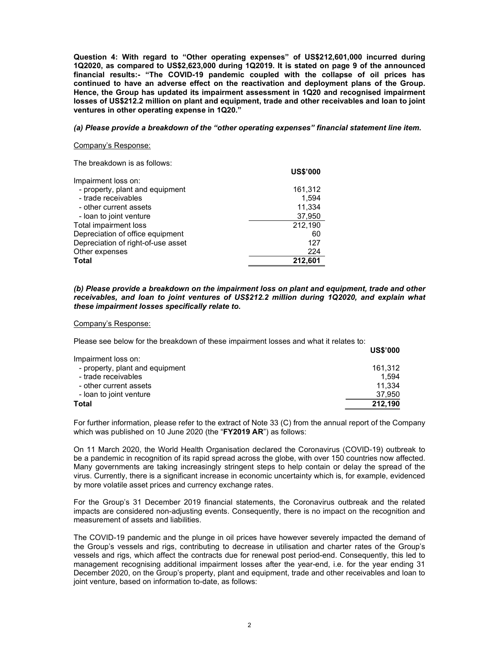Question 4: With regard to "Other operating expenses" of US\$212,601,000 incurred during 1Q2020, as compared to US\$2,623,000 during 1Q2019. It is stated on page 9 of the announced financial results:- "The COVID-19 pandemic coupled with the collapse of oil prices has continued to have an adverse effect on the reactivation and deployment plans of the Group. Hence, the Group has updated its impairment assessment in 1Q20 and recognised impairment losses of US\$212.2 million on plant and equipment, trade and other receivables and loan to joint ventures in other operating expense in 1Q20."

## (a) Please provide a breakdown of the "other operating expenses" financial statement line item.

 $U = 0.0000$ 

## Company's Response:

The breakdown is as follows:

|                                    | US\$'000 |
|------------------------------------|----------|
| Impairment loss on:                |          |
| - property, plant and equipment    | 161,312  |
| - trade receivables                | 1.594    |
| - other current assets             | 11,334   |
| - loan to joint venture            | 37,950   |
| Total impairment loss              | 212,190  |
| Depreciation of office equipment   | 60       |
| Depreciation of right-of-use asset | 127      |
| Other expenses                     | 224      |
| <b>Total</b>                       | 212,601  |

## (b) Please provide a breakdown on the impairment loss on plant and equipment, trade and other receivables, and loan to joint ventures of US\$212.2 million during 1Q2020, and explain what these impairment losses specifically relate to.

### Company's Response:

Please see below for the breakdown of these impairment losses and what it relates to:

|                                 | <b>US\$'000</b> |
|---------------------------------|-----------------|
| Impairment loss on:             |                 |
| - property, plant and equipment | 161.312         |
| - trade receivables             | 1.594           |
| - other current assets          | 11.334          |
| - loan to joint venture         | 37,950          |
| Total                           | 212,190         |
|                                 |                 |

For further information, please refer to the extract of Note 33 (C) from the annual report of the Company which was published on 10 June 2020 (the "FY2019 AR") as follows:

On 11 March 2020, the World Health Organisation declared the Coronavirus (COVID-19) outbreak to be a pandemic in recognition of its rapid spread across the globe, with over 150 countries now affected. Many governments are taking increasingly stringent steps to help contain or delay the spread of the virus. Currently, there is a significant increase in economic uncertainty which is, for example, evidenced by more volatile asset prices and currency exchange rates.

For the Group's 31 December 2019 financial statements, the Coronavirus outbreak and the related impacts are considered non-adjusting events. Consequently, there is no impact on the recognition and measurement of assets and liabilities.

The COVID-19 pandemic and the plunge in oil prices have however severely impacted the demand of the Group's vessels and rigs, contributing to decrease in utilisation and charter rates of the Group's vessels and rigs, which affect the contracts due for renewal post period-end. Consequently, this led to management recognising additional impairment losses after the year-end, i.e. for the year ending 31 December 2020, on the Group's property, plant and equipment, trade and other receivables and loan to joint venture, based on information to-date, as follows: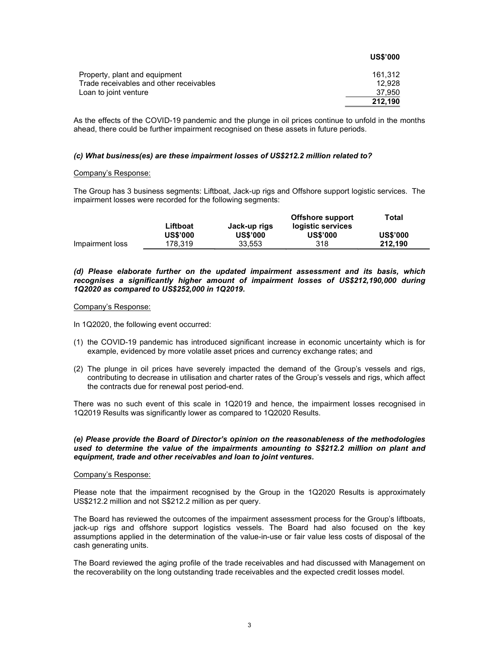|                                         | <b>US\$'000</b> |
|-----------------------------------------|-----------------|
| Property, plant and equipment           | 161.312         |
| Trade receivables and other receivables | 12.928          |
| Loan to joint venture                   | 37.950          |
|                                         | 212.190         |

As the effects of the COVID-19 pandemic and the plunge in oil prices continue to unfold in the months ahead, there could be further impairment recognised on these assets in future periods.

## (c) What business(es) are these impairment losses of US\$212.2 million related to?

## Company's Response:

The Group has 3 business segments: Liftboat, Jack-up rigs and Offshore support logistic services. The impairment losses were recorded for the following segments:

|                 |                 |                 | Offshore support  | Total           |
|-----------------|-----------------|-----------------|-------------------|-----------------|
|                 | Liftboat        | Jack-up rigs    | logistic services |                 |
|                 | <b>US\$'000</b> | <b>US\$'000</b> | <b>US\$'000</b>   | <b>US\$'000</b> |
| Impairment loss | 178.319         | 33.553          | 318               | 212.190         |

(d) Please elaborate further on the updated impairment assessment and its basis, which recognises a significantly higher amount of impairment losses of US\$212,190,000 during 1Q2020 as compared to US\$252,000 in 1Q2019.

### Company's Response:

In 1Q2020, the following event occurred:

- (1) the COVID-19 pandemic has introduced significant increase in economic uncertainty which is for example, evidenced by more volatile asset prices and currency exchange rates; and
- (2) The plunge in oil prices have severely impacted the demand of the Group's vessels and rigs, contributing to decrease in utilisation and charter rates of the Group's vessels and rigs, which affect the contracts due for renewal post period-end.

There was no such event of this scale in 1Q2019 and hence, the impairment losses recognised in 1Q2019 Results was significantly lower as compared to 1Q2020 Results.

## (e) Please provide the Board of Director's opinion on the reasonableness of the methodologies used to determine the value of the impairments amounting to S\$212.2 million on plant and equipment, trade and other receivables and loan to joint ventures.

### Company's Response:

Please note that the impairment recognised by the Group in the 1Q2020 Results is approximately US\$212.2 million and not S\$212.2 million as per query.

The Board has reviewed the outcomes of the impairment assessment process for the Group's liftboats, jack-up rigs and offshore support logistics vessels. The Board had also focused on the key assumptions applied in the determination of the value-in-use or fair value less costs of disposal of the cash generating units.

The Board reviewed the aging profile of the trade receivables and had discussed with Management on the recoverability on the long outstanding trade receivables and the expected credit losses model.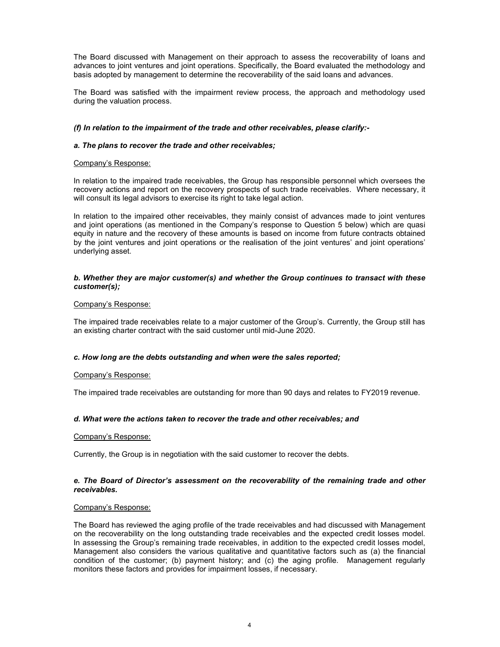The Board discussed with Management on their approach to assess the recoverability of loans and advances to joint ventures and joint operations. Specifically, the Board evaluated the methodology and basis adopted by management to determine the recoverability of the said loans and advances.

The Board was satisfied with the impairment review process, the approach and methodology used during the valuation process.

# (f) In relation to the impairment of the trade and other receivables, please clarify:-

# a. The plans to recover the trade and other receivables;

# Company's Response:

In relation to the impaired trade receivables, the Group has responsible personnel which oversees the recovery actions and report on the recovery prospects of such trade receivables. Where necessary, it will consult its legal advisors to exercise its right to take legal action.

In relation to the impaired other receivables, they mainly consist of advances made to joint ventures and joint operations (as mentioned in the Company's response to Question 5 below) which are quasi equity in nature and the recovery of these amounts is based on income from future contracts obtained by the joint ventures and joint operations or the realisation of the joint ventures' and joint operations' underlying asset.

# b. Whether they are major customer(s) and whether the Group continues to transact with these customer(s);

# Company's Response:

The impaired trade receivables relate to a major customer of the Group's. Currently, the Group still has an existing charter contract with the said customer until mid-June 2020.

# c. How long are the debts outstanding and when were the sales reported;

# Company's Response:

The impaired trade receivables are outstanding for more than 90 days and relates to FY2019 revenue.

# d. What were the actions taken to recover the trade and other receivables; and

# Company's Response:

Currently, the Group is in negotiation with the said customer to recover the debts.

# e. The Board of Director's assessment on the recoverability of the remaining trade and other receivables.

# Company's Response:

The Board has reviewed the aging profile of the trade receivables and had discussed with Management on the recoverability on the long outstanding trade receivables and the expected credit losses model. In assessing the Group's remaining trade receivables, in addition to the expected credit losses model, Management also considers the various qualitative and quantitative factors such as (a) the financial condition of the customer; (b) payment history; and (c) the aging profile. Management regularly monitors these factors and provides for impairment losses, if necessary.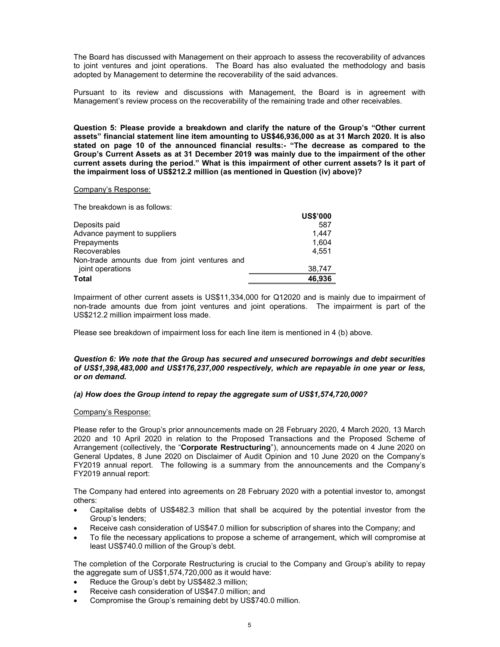The Board has discussed with Management on their approach to assess the recoverability of advances to joint ventures and joint operations. The Board has also evaluated the methodology and basis adopted by Management to determine the recoverability of the said advances.

Pursuant to its review and discussions with Management, the Board is in agreement with Management's review process on the recoverability of the remaining trade and other receivables.

Question 5: Please provide a breakdown and clarify the nature of the Group's "Other current assets" financial statement line item amounting to US\$46,936,000 as at 31 March 2020. It is also stated on page 10 of the announced financial results:- "The decrease as compared to the Group's Current Assets as at 31 December 2019 was mainly due to the impairment of the other current assets during the period." What is this impairment of other current assets? Is it part of the impairment loss of US\$212.2 million (as mentioned in Question (iv) above)?

### Company's Response:

The breakdown is as follows:

|                                               | <b>US\$'000</b> |
|-----------------------------------------------|-----------------|
| Deposits paid                                 | 587             |
| Advance payment to suppliers                  | 1.447           |
| Prepayments                                   | 1.604           |
| Recoverables                                  | 4,551           |
| Non-trade amounts due from joint ventures and |                 |
| joint operations                              | 38,747          |
| <b>Total</b>                                  | 46,936          |

Impairment of other current assets is US\$11,334,000 for Q12020 and is mainly due to impairment of non-trade amounts due from joint ventures and joint operations. The impairment is part of the US\$212.2 million impairment loss made.

Please see breakdown of impairment loss for each line item is mentioned in 4 (b) above.

# Question 6: We note that the Group has secured and unsecured borrowings and debt securities of US\$1,398,483,000 and US\$176,237,000 respectively, which are repayable in one year or less, or on demand.

# (a) How does the Group intend to repay the aggregate sum of US\$1,574,720,000?

# Company's Response:

Please refer to the Group's prior announcements made on 28 February 2020, 4 March 2020, 13 March 2020 and 10 April 2020 in relation to the Proposed Transactions and the Proposed Scheme of Arrangement (collectively, the "Corporate Restructuring"), announcements made on 4 June 2020 on General Updates, 8 June 2020 on Disclaimer of Audit Opinion and 10 June 2020 on the Company's FY2019 annual report. The following is a summary from the announcements and the Company's FY2019 annual report:

The Company had entered into agreements on 28 February 2020 with a potential investor to, amongst others:

- Capitalise debts of US\$482.3 million that shall be acquired by the potential investor from the Group's lenders;
- Receive cash consideration of US\$47.0 million for subscription of shares into the Company; and
- To file the necessary applications to propose a scheme of arrangement, which will compromise at least US\$740.0 million of the Group's debt.

The completion of the Corporate Restructuring is crucial to the Company and Group's ability to repay the aggregate sum of US\$1,574,720,000 as it would have:

- Reduce the Group's debt by US\$482.3 million;
- Receive cash consideration of US\$47.0 million; and
- Compromise the Group's remaining debt by US\$740.0 million.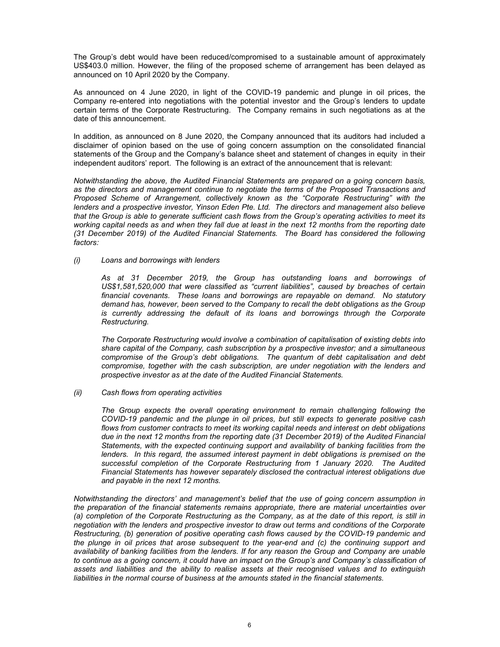The Group's debt would have been reduced/compromised to a sustainable amount of approximately US\$403.0 million. However, the filing of the proposed scheme of arrangement has been delayed as announced on 10 April 2020 by the Company.

As announced on 4 June 2020, in light of the COVID-19 pandemic and plunge in oil prices, the Company re-entered into negotiations with the potential investor and the Group's lenders to update certain terms of the Corporate Restructuring. The Company remains in such negotiations as at the date of this announcement.

In addition, as announced on 8 June 2020, the Company announced that its auditors had included a disclaimer of opinion based on the use of going concern assumption on the consolidated financial statements of the Group and the Company's balance sheet and statement of changes in equity in their independent auditors' report. The following is an extract of the announcement that is relevant:

Notwithstanding the above, the Audited Financial Statements are prepared on a going concern basis, as the directors and management continue to negotiate the terms of the Proposed Transactions and Proposed Scheme of Arrangement, collectively known as the "Corporate Restructuring" with the lenders and a prospective investor, Yinson Eden Pte. Ltd. The directors and management also believe that the Group is able to generate sufficient cash flows from the Group's operating activities to meet its working capital needs as and when they fall due at least in the next 12 months from the reporting date (31 December 2019) of the Audited Financial Statements. The Board has considered the following factors:

## (i) Loans and borrowings with lenders

As at 31 December 2019, the Group has outstanding loans and borrowings of US\$1,581,520,000 that were classified as "current liabilities", caused by breaches of certain financial covenants. These loans and borrowings are repayable on demand. No statutory demand has, however, been served to the Company to recall the debt obligations as the Group is currently addressing the default of its loans and borrowings through the Corporate Restructuring.

The Corporate Restructuring would involve a combination of capitalisation of existing debts into share capital of the Company, cash subscription by a prospective investor; and a simultaneous compromise of the Group's debt obligations. The quantum of debt capitalisation and debt compromise, together with the cash subscription, are under negotiation with the lenders and prospective investor as at the date of the Audited Financial Statements.

# (ii) Cash flows from operating activities

The Group expects the overall operating environment to remain challenging following the COVID-19 pandemic and the plunge in oil prices, but still expects to generate positive cash flows from customer contracts to meet its working capital needs and interest on debt obligations due in the next 12 months from the reporting date (31 December 2019) of the Audited Financial Statements, with the expected continuing support and availability of banking facilities from the lenders. In this regard, the assumed interest payment in debt obligations is premised on the successful completion of the Corporate Restructuring from 1 January 2020. The Audited Financial Statements has however separately disclosed the contractual interest obligations due and payable in the next 12 months.

Notwithstanding the directors' and management's belief that the use of going concern assumption in the preparation of the financial statements remains appropriate, there are material uncertainties over (a) completion of the Corporate Restructuring as the Company, as at the date of this report, is still in negotiation with the lenders and prospective investor to draw out terms and conditions of the Corporate Restructuring, (b) generation of positive operating cash flows caused by the COVID-19 pandemic and the plunge in oil prices that arose subsequent to the year-end and (c) the continuing support and availability of banking facilities from the lenders. If for any reason the Group and Company are unable to continue as a going concern, it could have an impact on the Group's and Company's classification of assets and liabilities and the ability to realise assets at their recognised values and to extinguish liabilities in the normal course of business at the amounts stated in the financial statements.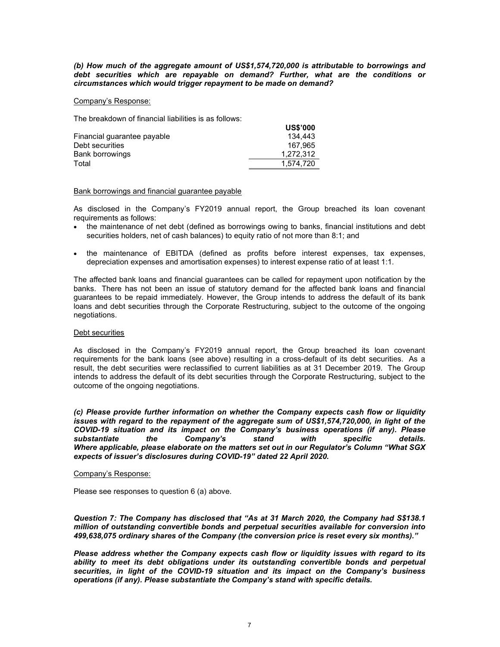(b) How much of the aggregate amount of US\$1,574,720,000 is attributable to borrowings and debt securities which are repayable on demand? Further, what are the conditions or circumstances which would trigger repayment to be made on demand?

 $U$ 

### Company's Response:

The breakdown of financial liabilities is as follows:

|                             | บอง บบบ   |
|-----------------------------|-----------|
| Financial quarantee payable | 134.443   |
| Debt securities             | 167.965   |
| Bank borrowings             | 1.272.312 |
| Total                       | 1.574.720 |

## Bank borrowings and financial guarantee payable

As disclosed in the Company's FY2019 annual report, the Group breached its loan covenant requirements as follows:

- the maintenance of net debt (defined as borrowings owing to banks, financial institutions and debt securities holders, net of cash balances) to equity ratio of not more than 8:1; and
- the maintenance of EBITDA (defined as profits before interest expenses, tax expenses, depreciation expenses and amortisation expenses) to interest expense ratio of at least 1:1.

The affected bank loans and financial guarantees can be called for repayment upon notification by the banks. There has not been an issue of statutory demand for the affected bank loans and financial guarantees to be repaid immediately. However, the Group intends to address the default of its bank loans and debt securities through the Corporate Restructuring, subject to the outcome of the ongoing negotiations.

### Debt securities

As disclosed in the Company's FY2019 annual report, the Group breached its loan covenant requirements for the bank loans (see above) resulting in a cross-default of its debt securities. As a result, the debt securities were reclassified to current liabilities as at 31 December 2019. The Group intends to address the default of its debt securities through the Corporate Restructuring, subject to the outcome of the ongoing negotiations.

(c) Please provide further information on whether the Company expects cash flow or liquidity issues with regard to the repayment of the aggregate sum of US\$1,574,720,000, in light of the COVID-19 situation and its impact on the Company's business operations (if any). Please substantiate the Company's stand with specific details. Where applicable, please elaborate on the matters set out in our Regulator's Column "What SGX expects of issuer's disclosures during COVID-19" dated 22 April 2020.

# Company's Response:

Please see responses to question 6 (a) above.

Question 7: The Company has disclosed that "As at 31 March 2020, the Company had S\$138.1 million of outstanding convertible bonds and perpetual securities available for conversion into 499,638,075 ordinary shares of the Company (the conversion price is reset every six months)."

Please address whether the Company expects cash flow or liquidity issues with regard to its ability to meet its debt obligations under its outstanding convertible bonds and perpetual securities, in light of the COVID-19 situation and its impact on the Company's business operations (if any). Please substantiate the Company's stand with specific details.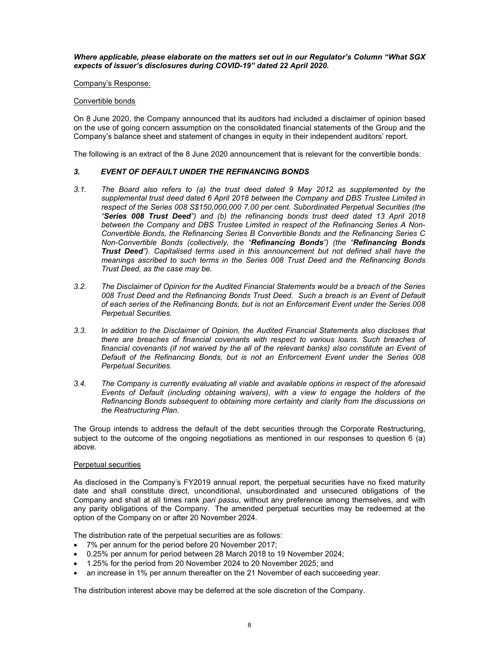Where applicable, please elaborate on the matters set out in our Regulator's Column "What SGX expects of issuer's disclosures during COVID-19" dated 22 April 2020.

Company's Response:

## Convertible bonds

On 8 June 2020, the Company announced that its auditors had included a disclaimer of opinion based on the use of going concern assumption on the consolidated financial statements of the Group and the Company's balance sheet and statement of changes in equity in their independent auditors' report.

The following is an extract of the 8 June 2020 announcement that is relevant for the convertible bonds:

# 3. EVENT OF DEFAULT UNDER THE REFINANCING BONDS

- 3.1. The Board also refers to (a) the trust deed dated 9 May 2012 as supplemented by the supplemental trust deed dated 6 April 2018 between the Company and DBS Trustee Limited in respect of the Series 008 S\$150,000,000 7.00 per cent. Subordinated Perpetual Securities (the "Series 008 Trust Deed") and (b) the refinancing bonds trust deed dated 13 April 2018 between the Company and DBS Trustee Limited in respect of the Refinancing Series A Non-Convertible Bonds, the Refinancing Series B Convertible Bonds and the Refinancing Series C Non-Convertible Bonds (collectively, the "Refinancing Bonds") (the "Refinancing Bonds Trust Deed"). Capitalised terms used in this announcement but not defined shall have the meanings ascribed to such terms in the Series 008 Trust Deed and the Refinancing Bonds Trust Deed, as the case may be.
- 3.2. The Disclaimer of Opinion for the Audited Financial Statements would be a breach of the Series 008 Trust Deed and the Refinancing Bonds Trust Deed. Such a breach is an Event of Default of each series of the Refinancing Bonds, but is not an Enforcement Event under the Series 008 Perpetual Securities.
- 3.3. In addition to the Disclaimer of Opinion, the Audited Financial Statements also discloses that there are breaches of financial covenants with respect to various loans. Such breaches of financial covenants (if not waived by the all of the relevant banks) also constitute an Event of Default of the Refinancing Bonds, but is not an Enforcement Event under the Series 008 Perpetual Securities.
- 3.4. The Company is currently evaluating all viable and available options in respect of the aforesaid Events of Default (including obtaining waivers), with a view to engage the holders of the Refinancing Bonds subsequent to obtaining more certainty and clarity from the discussions on the Restructuring Plan.

The Group intends to address the default of the debt securities through the Corporate Restructuring, subject to the outcome of the ongoing negotiations as mentioned in our responses to question 6 (a) above.

### Perpetual securities

As disclosed in the Company's FY2019 annual report, the perpetual securities have no fixed maturity date and shall constitute direct, unconditional, unsubordinated and unsecured obligations of the Company and shall at all times rank pari passu, without any preference among themselves, and with any parity obligations of the Company. The amended perpetual securities may be redeemed at the option of the Company on or after 20 November 2024.

The distribution rate of the perpetual securities are as follows:

- 7% per annum for the period before 20 November 2017;
- 0.25% per annum for period between 28 March 2018 to 19 November 2024;
- 1.25% for the period from 20 November 2024 to 20 November 2025; and
- an increase in 1% per annum thereafter on the 21 November of each succeeding year.

The distribution interest above may be deferred at the sole discretion of the Company.